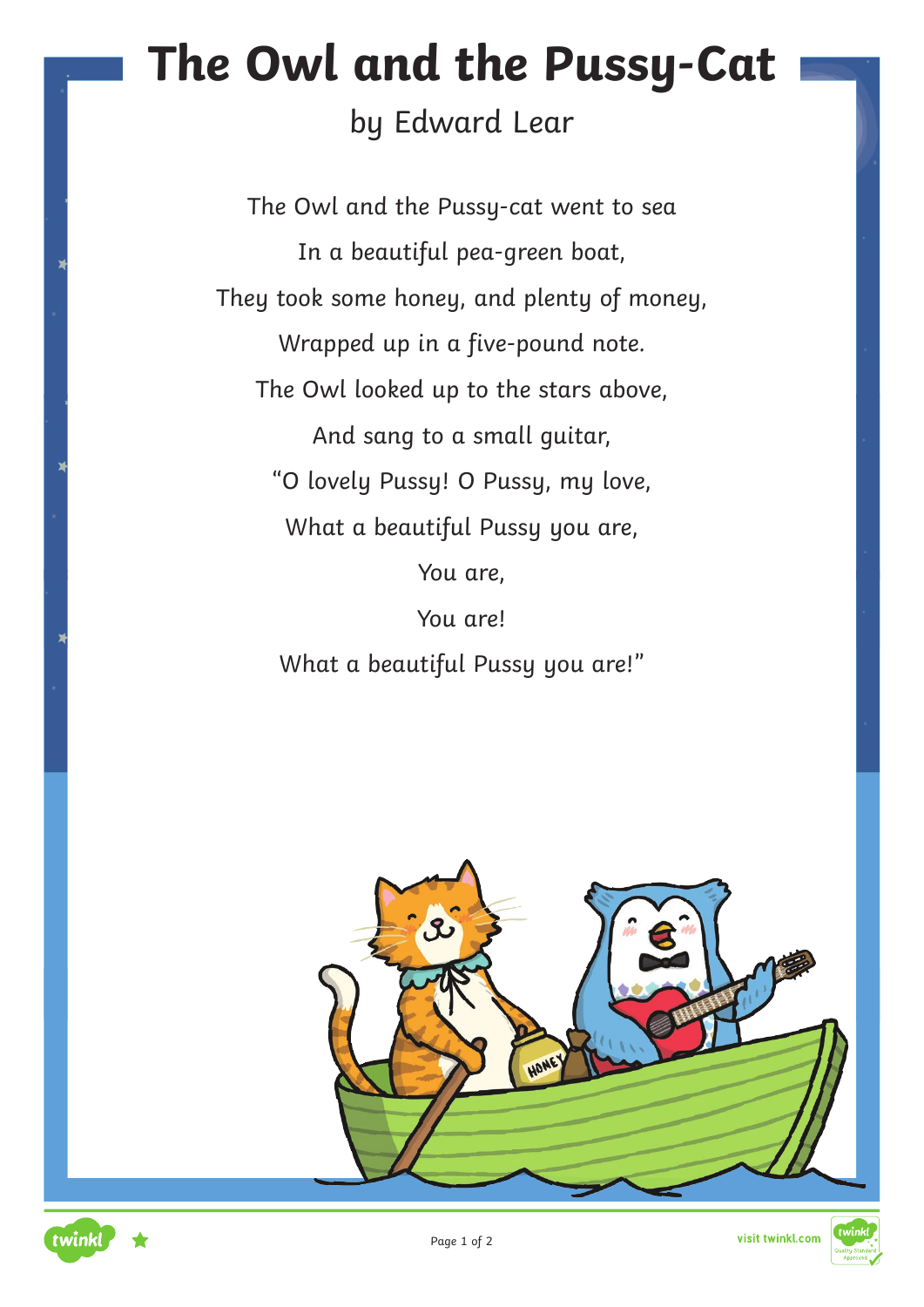### by Edward Lear

The Owl and the Pussy-cat went to sea In a beautiful pea-green boat, They took some honey, and plenty of money, Wrapped up in a five-pound note. The Owl looked up to the stars above, And sang to a small guitar, "O lovely Pussy! O Pussy, my love, What a beautiful Pussy you are, You are, You are! What a beautiful Pussy you are!"



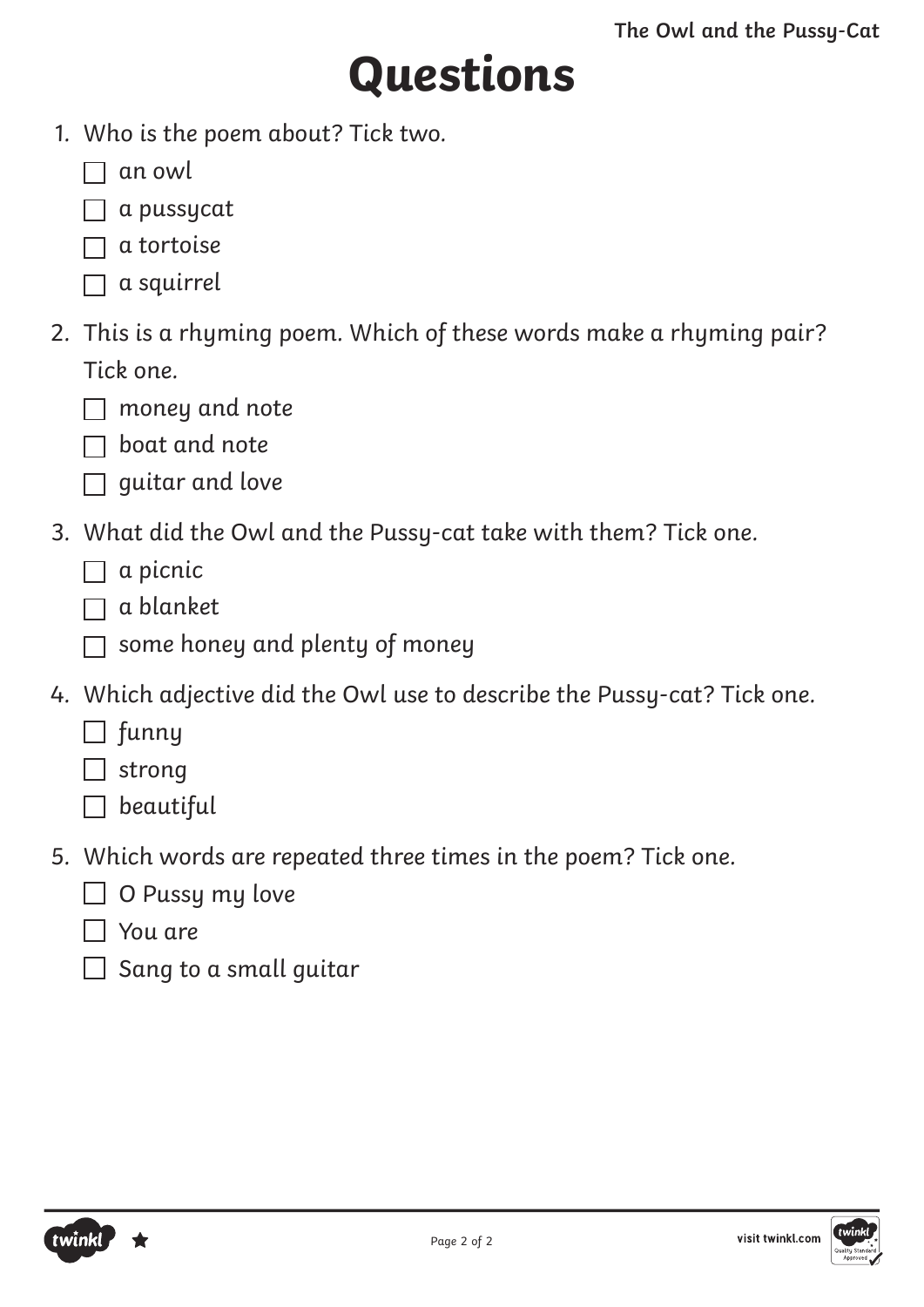# **Questions**

- 1. Who is the poem about? Tick two.
	- $\Box$  an owl
	- $\Box$  a pussycat
	- $\Box$  a tortoise
	- $\Box$  a squirrel
- 2. This is a rhyming poem. Which of these words make a rhyming pair? Tick one.
	- $\Box$  money and note
	- $\Box$  boat and note
	- $\Box$  guitar and love
- 3. What did the Owl and the Pussy-cat take with them? Tick one.
	- $\Box$  a picnic
	- $\Box$  a blanket
	- $\Box$  some honey and plenty of money
- 4. Which adjective did the Owl use to describe the Pussy-cat? Tick one.
	- $\Box$  funny
	- $\Box$  strong
	- $\Box$  beautiful
- 5. Which words are repeated three times in the poem? Tick one.
	- $\Box$  O Pussy my love
	- $\Box$  You are
	- $\Box$  Sang to a small guitar

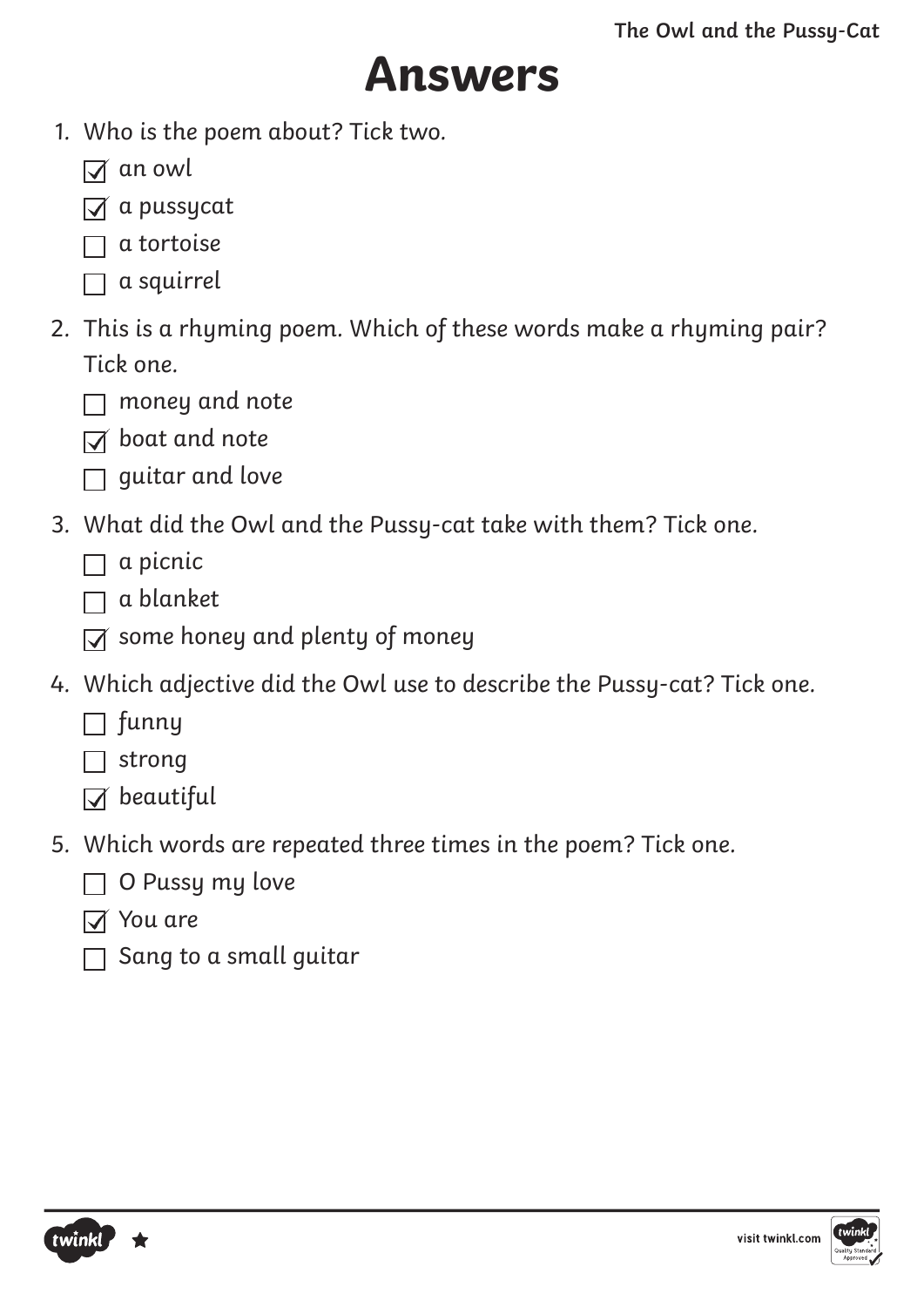### **Answers**

- 1. Who is the poem about? Tick two.
	- $\overline{v}$  an owl
	- $\overline{a}$  a pussycat
	- $\Box$  a tortoise
	- $\Box$  a squirrel
- 2. This is a rhyming poem. Which of these words make a rhyming pair? Tick one.
	- $\Box$  money and note
	- $\overline{\vee}$  boat and note
	- $\Box$  guitar and love
- 3. What did the Owl and the Pussy-cat take with them? Tick one.
	- $\Box$  a picnic
	- $\Box$  a blanket
	- $\sqrt{ }$  some honey and plenty of money
- 4. Which adjective did the Owl use to describe the Pussy-cat? Tick one.
	- $\Box$  funny
	- $\Box$  strong
	- $\overline{M}$  beautiful
- 5. Which words are repeated three times in the poem? Tick one.
	- □ O Pussy my love
	- $\overline{\vee}$  You are
	- $\Box$  Sang to a small guitar



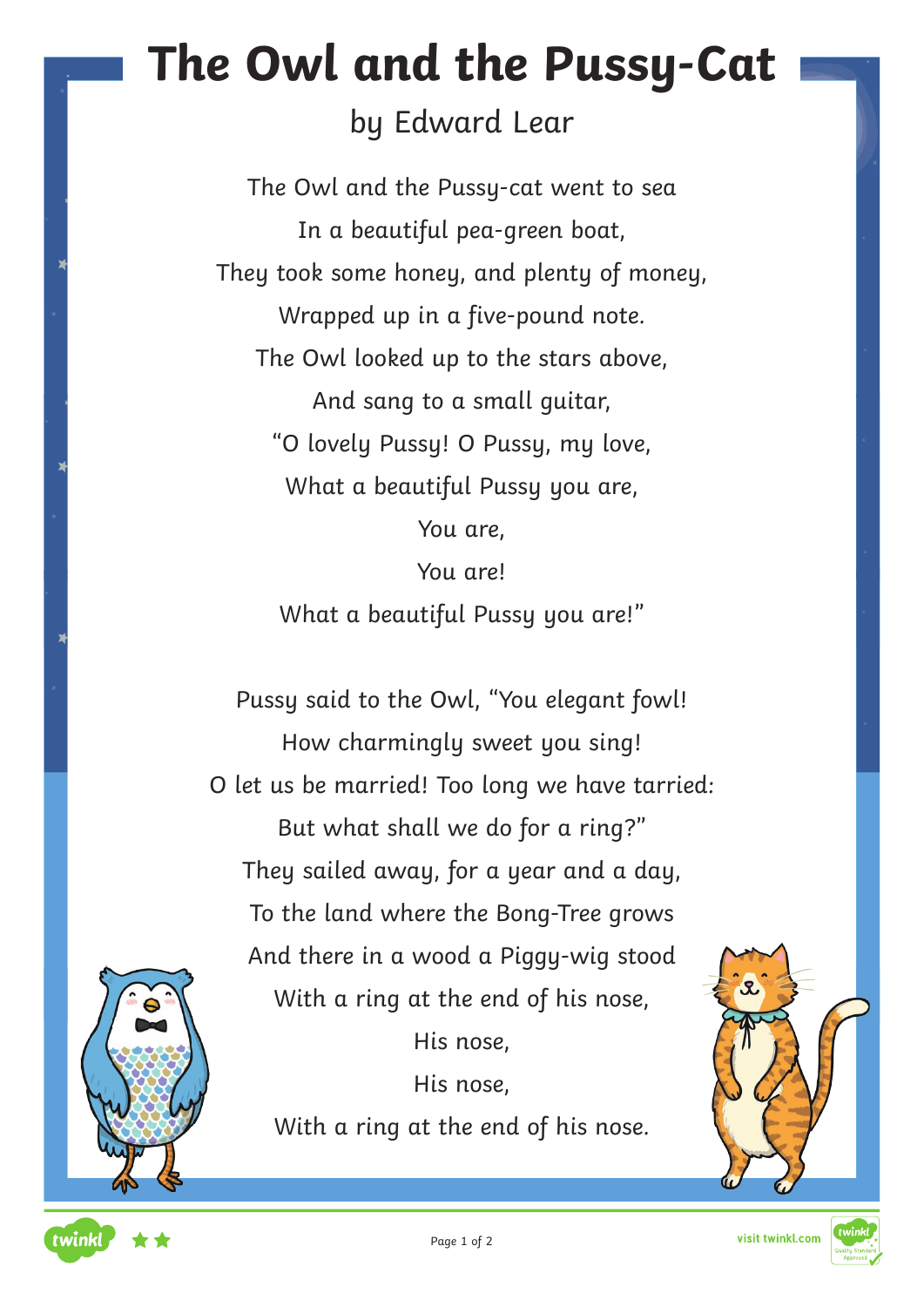### by Edward Lear

The Owl and the Pussy-cat went to sea In a beautiful pea-green boat, They took some honey, and plenty of money, Wrapped up in a five-pound note. The Owl looked up to the stars above, And sang to a small guitar, "O lovely Pussy! O Pussy, my love, What a beautiful Pussy you are, You are,

> You are! What a beautiful Pussy you are!"

Pussy said to the Owl, "You elegant fowl! How charmingly sweet you sing! O let us be married! Too long we have tarried: But what shall we do for a ring?" They sailed away, for a year and a day, To the land where the Bong-Tree grows And there in a wood a Piggy-wig stood With a ring at the end of his nose, His nose,

> His nose, With a ring at the end of his nose.



visit twinkl.com



ρ

twinkl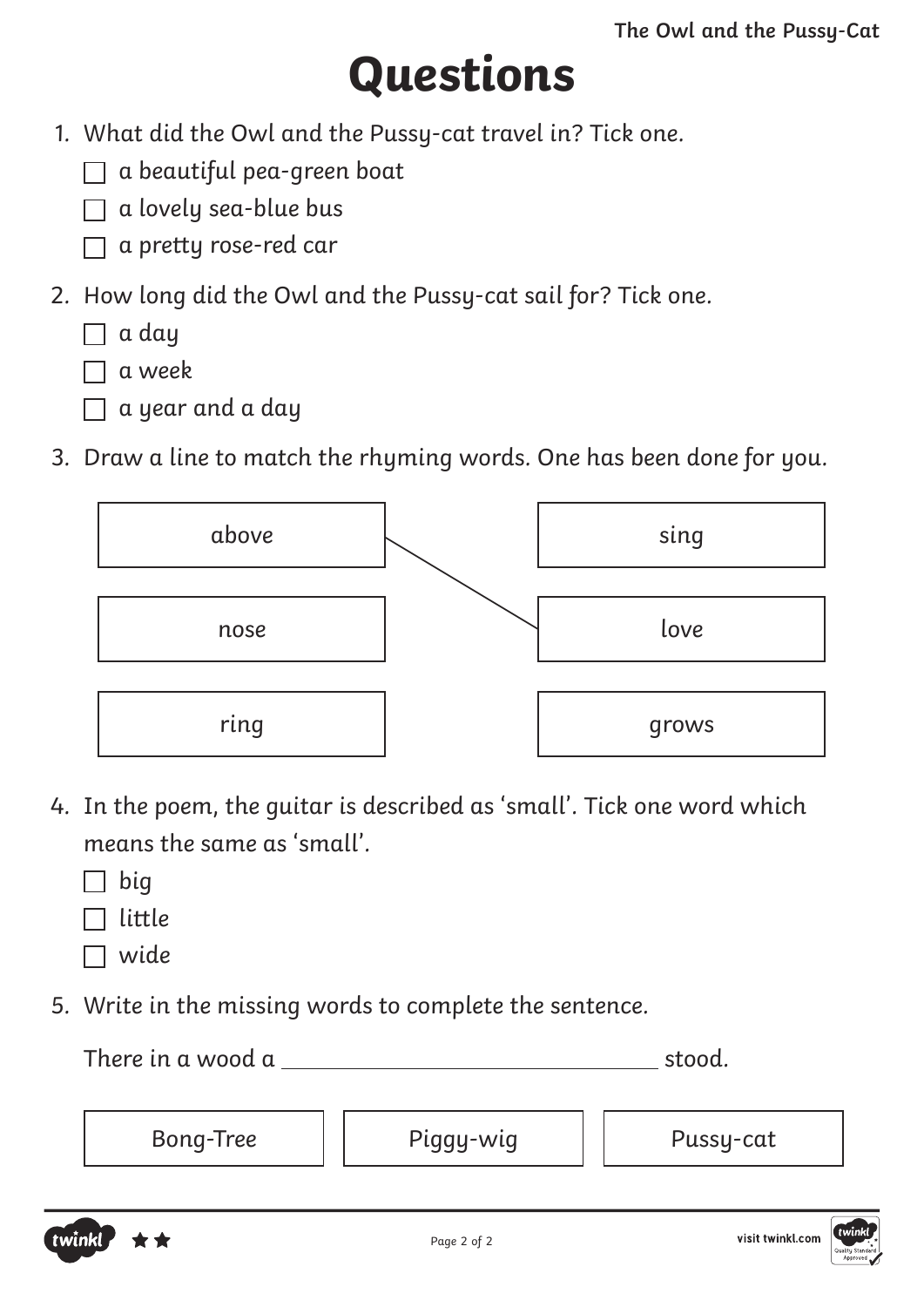# **Questions**

- 1. What did the Owl and the Pussy-cat travel in? Tick one.
	- $\Box$  a beautiful pea-green boat

 $\Box$  a lovely sea-blue bus

- $\Box$  a pretty rose-red car
- 2. How long did the Owl and the Pussy-cat sail for? Tick one.
	- $\Box$  a day
	- $\overline{\phantom{a}}$  a week
	- $\Box$  a year and a day
- 3. Draw a line to match the rhyming words. One has been done for you.



- 4. In the poem, the guitar is described as 'small'. Tick one word which means the same as 'small'.
	- $\Box$  big
	- $\Box$  little
	- $\Box$  wide
- 5. Write in the missing words to complete the sentence.

There in a wood a stood.

Bong-Tree | Piggy-wig | Pussy-cat



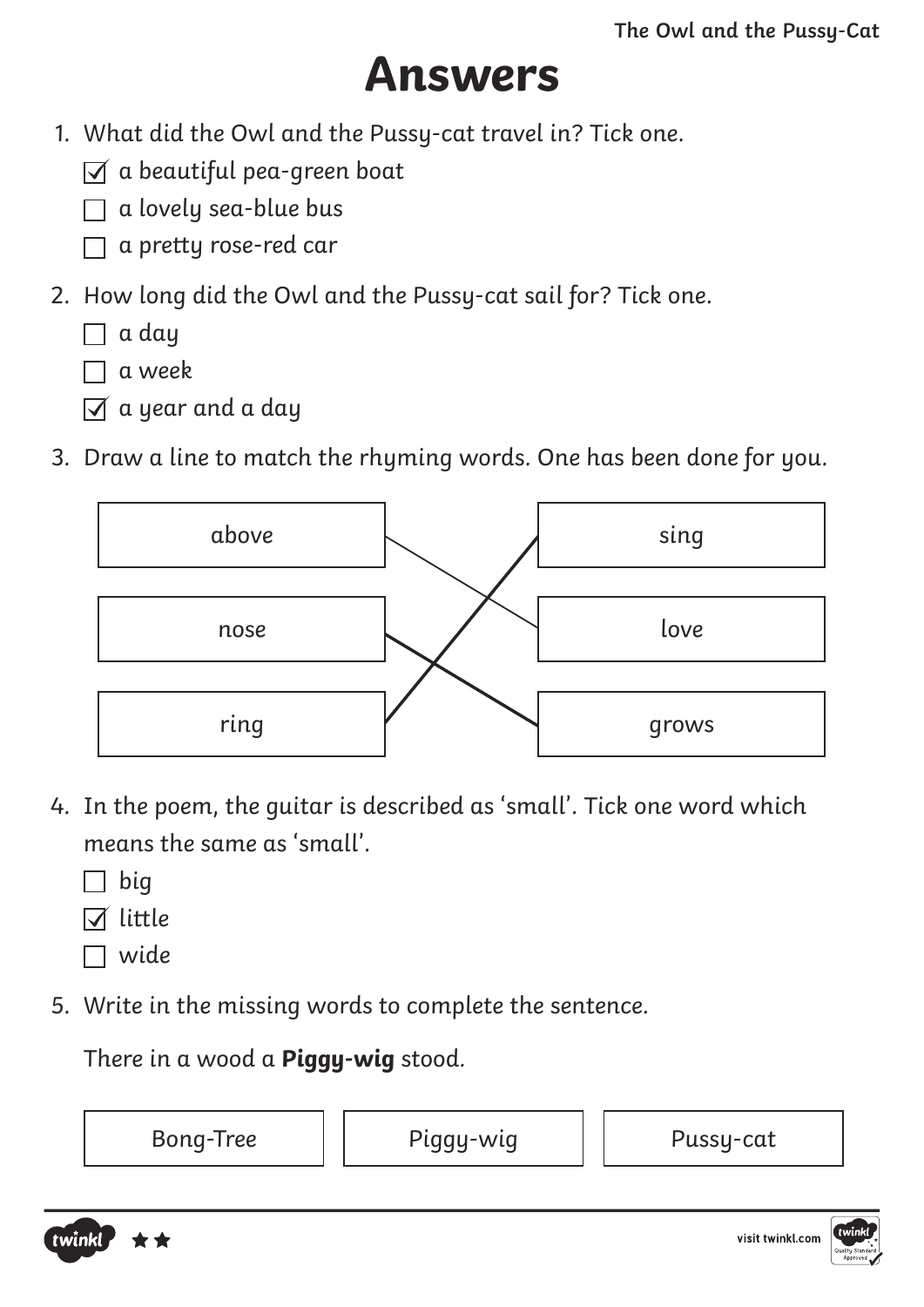### **Answers**

- 1. What did the Owl and the Pussy-cat travel in? Tick one.
	- $\overline{a}$  a beautiful pea-green boat
	- $\Box$  a lovely sea-blue bus
	- $\Box$  a pretty rose-red car
- 2. How long did the Owl and the Pussy-cat sail for? Tick one.
	- $\Box$  a day
	- a week
	- $\overline{\triangleleft}$  a year and a day
- 3. Draw a line to match the rhyming words. One has been done for you.



- 4. In the poem, the guitar is described as 'small'. Tick one word which means the same as 'small'.
	- $\Box$  big
	- $\overline{\vee}$  little
	- $\Box$  wide
- 5. Write in the missing words to complete the sentence.

There in a wood a **Piggy-wig** stood.





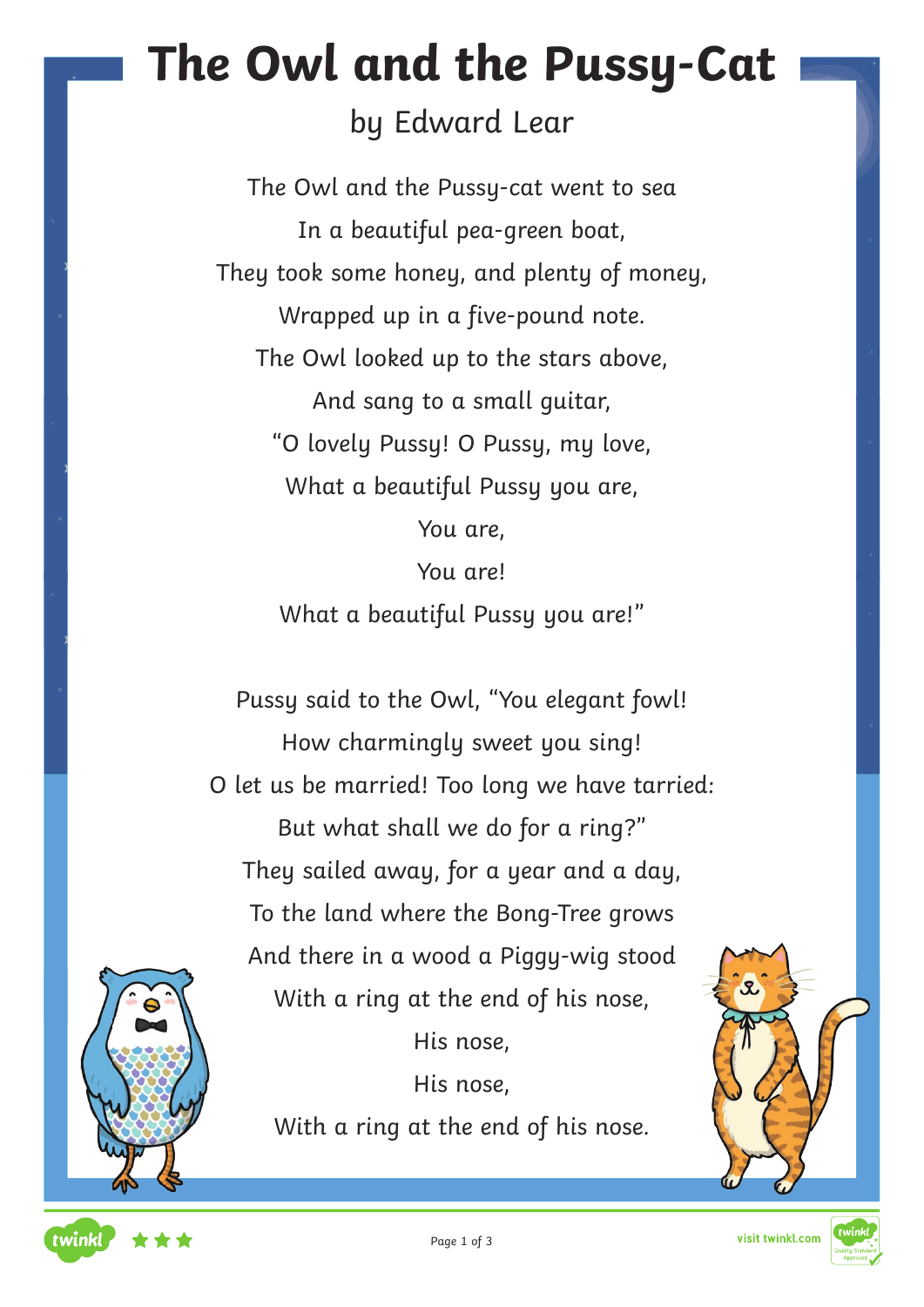### by Edward Lear

The Owl and the Pussy-cat went to sea In a beautiful pea-green boat, They took some honey, and plenty of money, Wrapped up in a five-pound note. The Owl looked up to the stars above, And sang to a small guitar, "O lovely Pussy! O Pussy, my love, What a beautiful Pussy you are, You are,

You are! What a beautiful Pussy you are!"

Pussy said to the Owl, "You elegant fowl! How charmingly sweet you sing! O let us be married! Too long we have tarried: But what shall we do for a ring?" They sailed away, for a year and a day, To the land where the Bong-Tree grows And there in a wood a Piggy-wig stood With a ring at the end of his nose, His nose,

His nose, With a ring at the end of his nose.





◒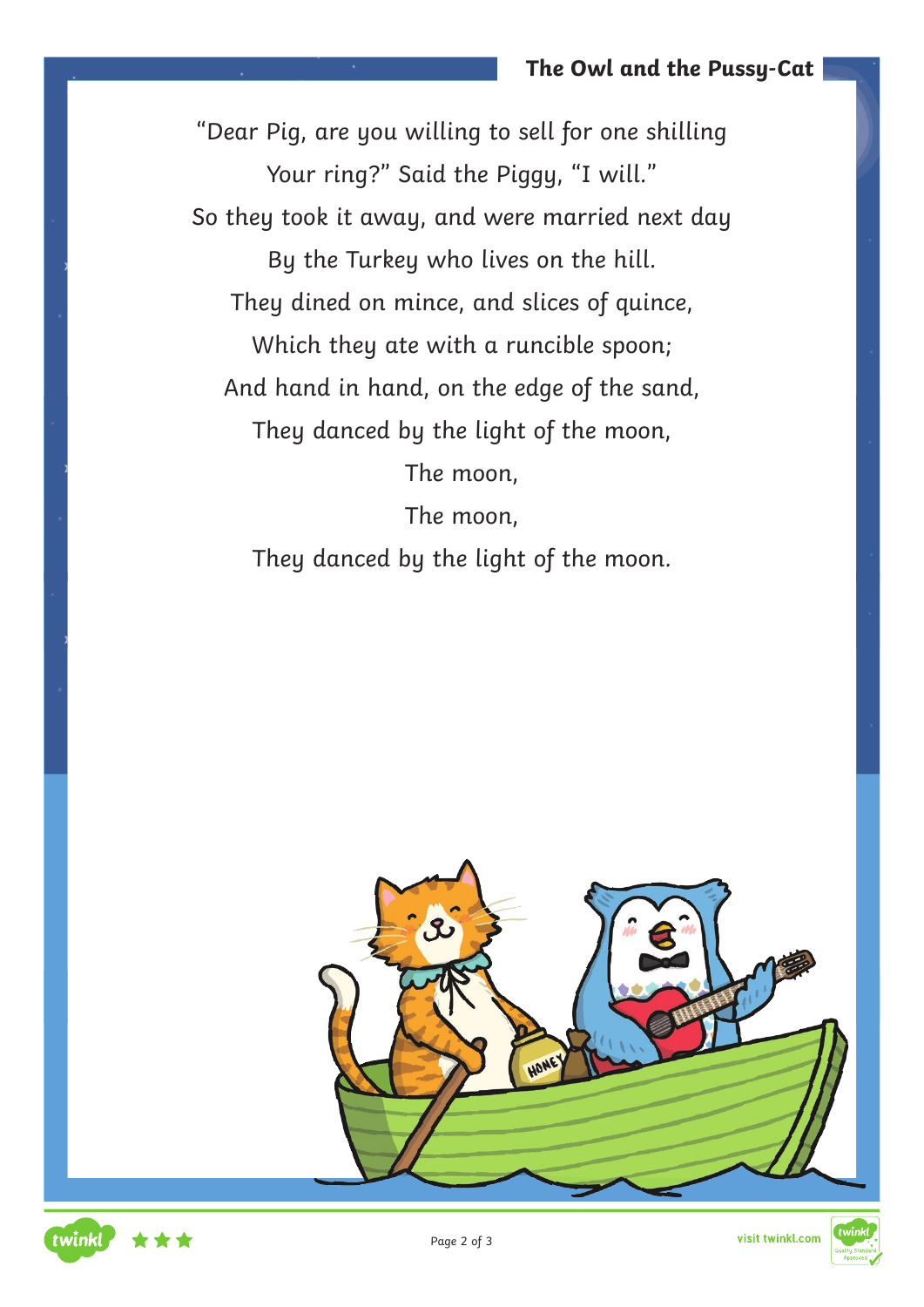"Dear Pig, are you willing to sell for one shilling Your ring?" Said the Piggy, "I will." So they took it away, and were married next day By the Turkey who lives on the hill. They dined on mince, and slices of quince, Which they ate with a runcible spoon; And hand in hand, on the edge of the sand, They danced by the light of the moon, The moon, The moon,

They danced by the light of the moon.



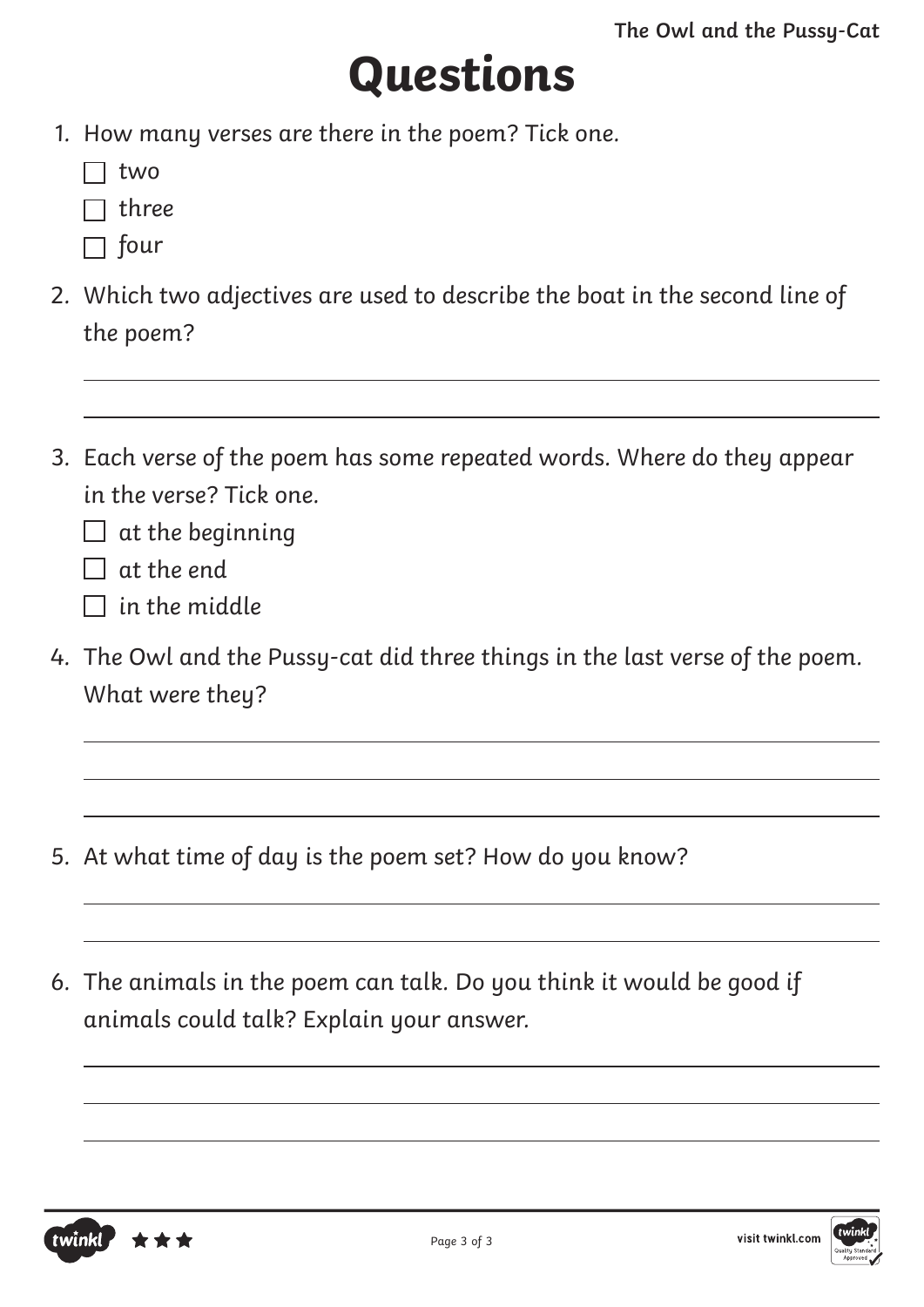## **Questions**

- 1. How many verses are there in the poem? Tick one.
	- two
	- $\Box$  three
	- $\Box$  four
- 2. Which two adjectives are used to describe the boat in the second line of the poem?
- 3. Each verse of the poem has some repeated words. Where do they appear in the verse? Tick one.
	- $\Box$  at the beginning
	- $\Box$  at the end
	- $\Box$  in the middle
- 4. The Owl and the Pussy-cat did three things in the last verse of the poem. What were they?

- 5. At what time of day is the poem set? How do you know?
- 6. The animals in the poem can talk. Do you think it would be good if animals could talk? Explain your answer.